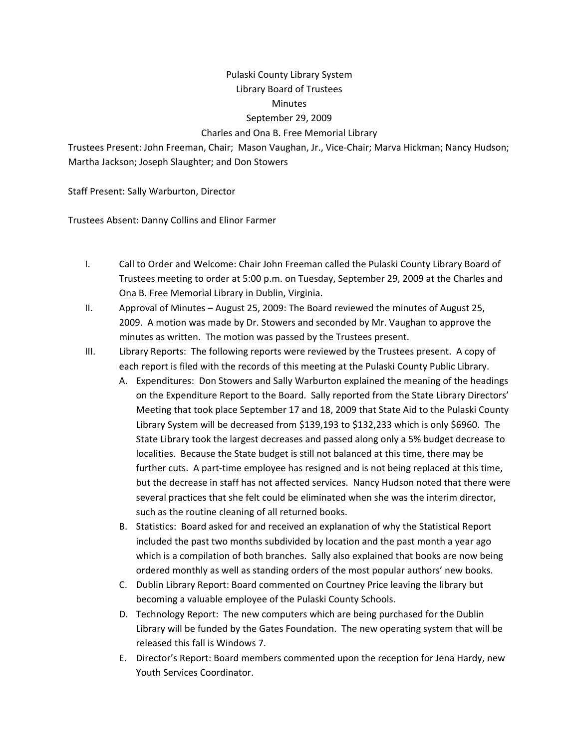## Pulaski County Library System Library Board of Trustees **Minutes** September 29, 2009 Charles and Ona B. Free Memorial Library

Trustees Present: John Freeman, Chair; Mason Vaughan, Jr., Vice‐Chair; Marva Hickman; Nancy Hudson; Martha Jackson; Joseph Slaughter; and Don Stowers

Staff Present: Sally Warburton, Director

Trustees Absent: Danny Collins and Elinor Farmer

- I. Call to Order and Welcome: Chair John Freeman called the Pulaski County Library Board of Trustees meeting to order at 5:00 p.m. on Tuesday, September 29, 2009 at the Charles and Ona B. Free Memorial Library in Dublin, Virginia.
- II. Approval of Minutes August 25, 2009: The Board reviewed the minutes of August 25, 2009. A motion was made by Dr. Stowers and seconded by Mr. Vaughan to approve the minutes as written. The motion was passed by the Trustees present.
- III. Library Reports: The following reports were reviewed by the Trustees present. A copy of each report is filed with the records of this meeting at the Pulaski County Public Library.
	- A. Expenditures: Don Stowers and Sally Warburton explained the meaning of the headings on the Expenditure Report to the Board. Sally reported from the State Library Directors' Meeting that took place September 17 and 18, 2009 that State Aid to the Pulaski County Library System will be decreased from \$139,193 to \$132,233 which is only \$6960. The State Library took the largest decreases and passed along only a 5% budget decrease to localities. Because the State budget is still not balanced at this time, there may be further cuts. A part-time employee has resigned and is not being replaced at this time, but the decrease in staff has not affected services. Nancy Hudson noted that there were several practices that she felt could be eliminated when she was the interim director, such as the routine cleaning of all returned books.
	- B. Statistics: Board asked for and received an explanation of why the Statistical Report included the past two months subdivided by location and the past month a year ago which is a compilation of both branches. Sally also explained that books are now being ordered monthly as well as standing orders of the most popular authors' new books.
	- C. Dublin Library Report: Board commented on Courtney Price leaving the library but becoming a valuable employee of the Pulaski County Schools.
	- D. Technology Report: The new computers which are being purchased for the Dublin Library will be funded by the Gates Foundation. The new operating system that will be released this fall is Windows 7.
	- E. Director's Report: Board members commented upon the reception for Jena Hardy, new Youth Services Coordinator.